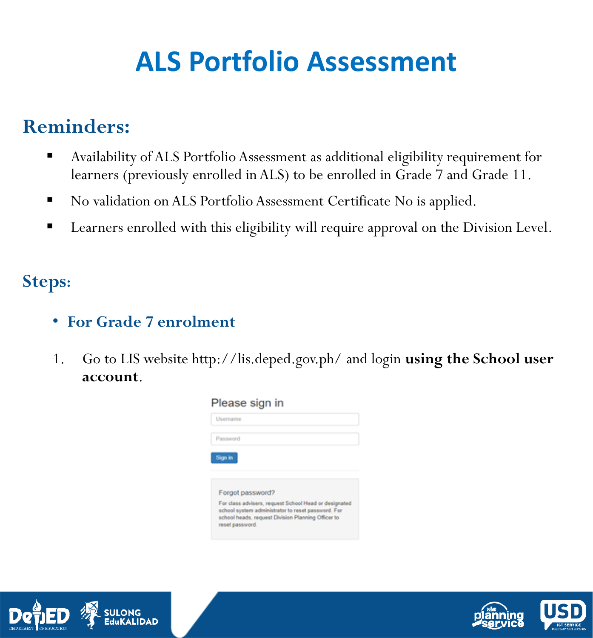# **ALS Portfolio Assessment**

### **Reminders:**

- Availability of ALS Portfolio Assessment as additional eligibility requirement for learners (previously enrolled in ALS) to be enrolled in Grade 7 and Grade 11.
- No validation on ALS Portfolio Assessment Certificate No is applied.
- Learners enrolled with this eligibility will require approval on the Division Level.

#### **Steps:**

- **For Grade 7 enrolment**
- 1. Go to LIS website http://lis.deped.gov.ph/ and login **using the School user account**.





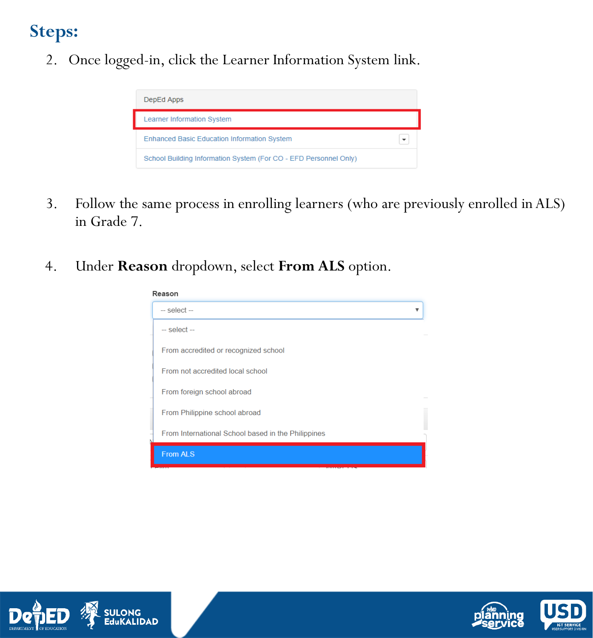2. Once logged-in, click the Learner Information System link.



- 3. Follow the same process in enrolling learners (who are previously enrolled in ALS) in Grade 7.
- 4. Under **Reason** dropdown, select **From ALS** option.





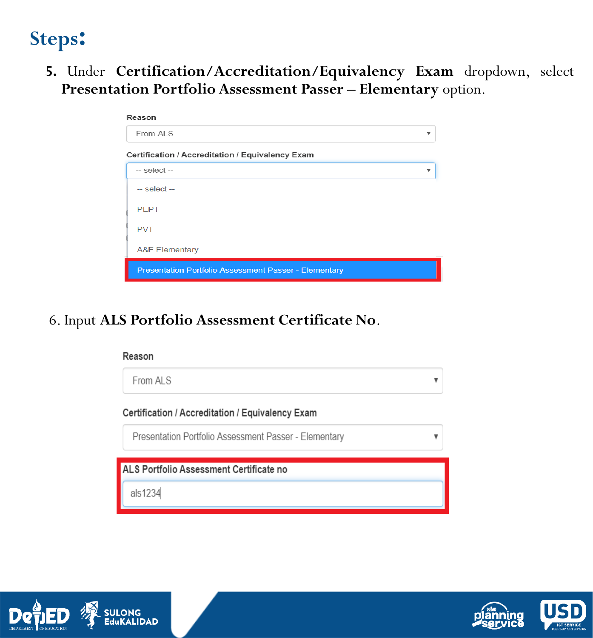**5.** Under **Certification/Accreditation/Equivalency Exam** dropdown, select **Presentation Portfolio Assessment Passer – Elementary** option.

| Reason                                                       |  |  |  |  |  |  |  |  |
|--------------------------------------------------------------|--|--|--|--|--|--|--|--|
| From ALS                                                     |  |  |  |  |  |  |  |  |
| Certification / Accreditation / Equivalency Exam             |  |  |  |  |  |  |  |  |
| $-$ select $-$                                               |  |  |  |  |  |  |  |  |
| $-$ select $-$                                               |  |  |  |  |  |  |  |  |
| <b>PEPT</b>                                                  |  |  |  |  |  |  |  |  |
| <b>PVT</b>                                                   |  |  |  |  |  |  |  |  |
| <b>A&amp;E Elementary</b>                                    |  |  |  |  |  |  |  |  |
| <b>Presentation Portfolio Assessment Passer - Elementary</b> |  |  |  |  |  |  |  |  |

#### 6. Input **ALS Portfolio Assessment Certificate No**.







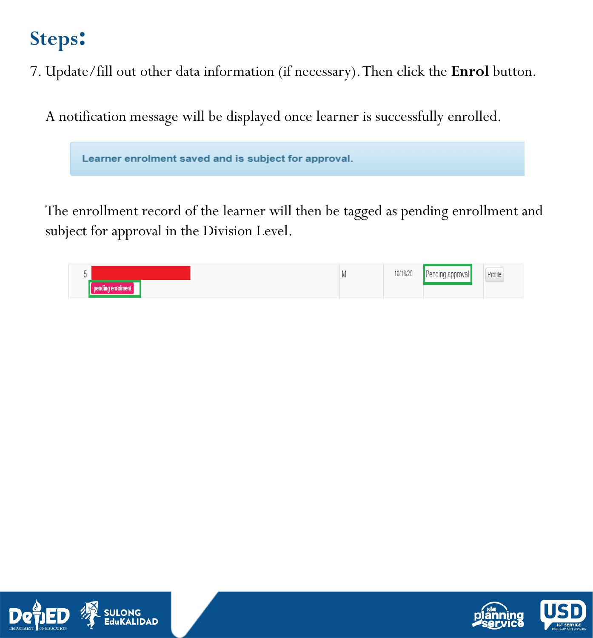7. Update/fill out other data information (if necessary). Then click the **Enrol** button.

A notification message will be displayed once learner is successfully enrolled.

Learner enrolment saved and is subject for approval.

The enrollment record of the learner will then be tagged as pending enrollment and subject for approval in the Division Level.





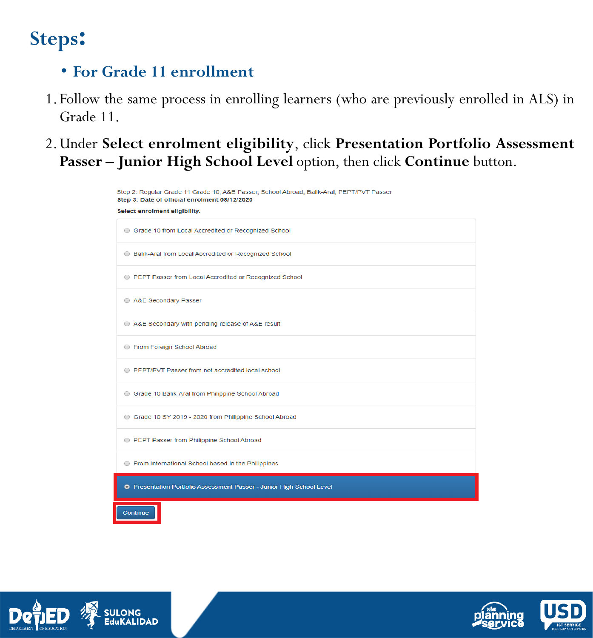#### • **For Grade 11 enrollment**

- 1. Follow the same process in enrolling learners (who are previously enrolled in ALS) in Grade 11.
- 2.Under **Select enrolment eligibility**, click **Presentation Portfolio Assessment Passer – Junior High School Level** option, then click **Continue** button.

| Step 2: Regular Grade 11 Grade 10, A&E Passer, School Abroad, Balik-Aral, PEPT/PVT Passer<br>Step 3: Date of official enrolment 08/12/2020 |  |  |  |  |  |  |  |
|--------------------------------------------------------------------------------------------------------------------------------------------|--|--|--|--|--|--|--|
| Select enrolment eligibility.                                                                                                              |  |  |  |  |  |  |  |
| Grade 10 from Local Accredited or Recognized School                                                                                        |  |  |  |  |  |  |  |
| Balik-Aral from Local Accredited or Recognized School                                                                                      |  |  |  |  |  |  |  |
| <b>EPT Passer from Local Accredited or Recognized School</b>                                                                               |  |  |  |  |  |  |  |
| A&E Secondary Passer                                                                                                                       |  |  |  |  |  |  |  |
| A&E Secondary with pending release of A&E result                                                                                           |  |  |  |  |  |  |  |
| ● From Foreign School Abroad                                                                                                               |  |  |  |  |  |  |  |
| <b>EXECUTE:</b> PEPT/PVT Passer from not accredited local school                                                                           |  |  |  |  |  |  |  |
| Grade 10 Balik-Aral from Philippine School Abroad                                                                                          |  |  |  |  |  |  |  |
| Grade 10 SY 2019 - 2020 from Philippine School Abroad                                                                                      |  |  |  |  |  |  |  |
| <b>EPT Passer from Philippine School Abroad</b>                                                                                            |  |  |  |  |  |  |  |
| ◯ From International School based in the Philippines                                                                                       |  |  |  |  |  |  |  |
| O Presentation Portfolio Assessment Passer - Junior High School Level                                                                      |  |  |  |  |  |  |  |
| Continue                                                                                                                                   |  |  |  |  |  |  |  |



.<br>DAD